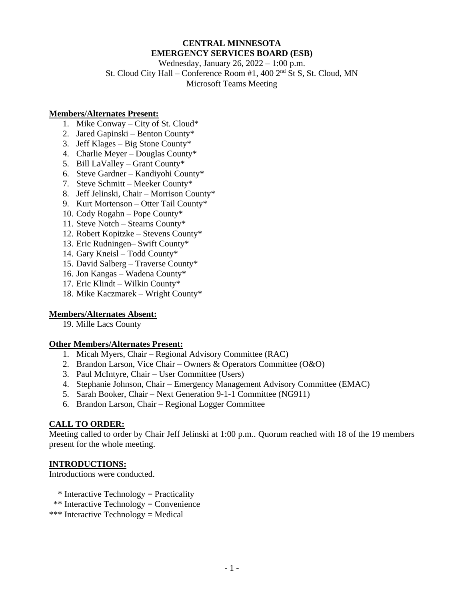# **CENTRAL MINNESOTA EMERGENCY SERVICES BOARD (ESB)**

Wednesday, January 26, 2022 – 1:00 p.m. St. Cloud City Hall – Conference Room #1, 400 2nd St S, St. Cloud, MN Microsoft Teams Meeting

#### **Members/Alternates Present:**

- 1. Mike Conway City of St. Cloud\*
- 2. Jared Gapinski Benton County\*
- 3. Jeff Klages Big Stone County\*
- 4. Charlie Meyer Douglas County\*
- 5. Bill LaValley Grant County\*
- 6. Steve Gardner Kandiyohi County\*
- 7. Steve Schmitt Meeker County\*
- 8. Jeff Jelinski, Chair Morrison County\*
- 9. Kurt Mortenson Otter Tail County\*
- 10. Cody Rogahn Pope County\*
- 11. Steve Notch Stearns County\*
- 12. Robert Kopitzke Stevens County\*
- 13. Eric Rudningen– Swift County\*
- 14. Gary Kneisl Todd County\*
- 15. David Salberg Traverse County\*
- 16. Jon Kangas Wadena County\*
- 17. Eric Klindt Wilkin County\*
- 18. Mike Kaczmarek Wright County\*

#### **Members/Alternates Absent:**

19. Mille Lacs County

#### **Other Members/Alternates Present:**

- 1. Micah Myers, Chair Regional Advisory Committee (RAC)
- 2. Brandon Larson, Vice Chair Owners & Operators Committee (O&O)
- 3. Paul McIntyre, Chair User Committee (Users)
- 4. Stephanie Johnson, Chair Emergency Management Advisory Committee (EMAC)
- 5. Sarah Booker, Chair Next Generation 9-1-1 Committee (NG911)
- 6. Brandon Larson, Chair Regional Logger Committee

#### **CALL TO ORDER:**

Meeting called to order by Chair Jeff Jelinski at 1:00 p.m.. Quorum reached with 18 of the 19 members present for the whole meeting.

#### **INTRODUCTIONS:**

Introductions were conducted.

- \* Interactive Technology = Practicality
- \*\* Interactive Technology = Convenience
- \*\*\* Interactive Technology = Medical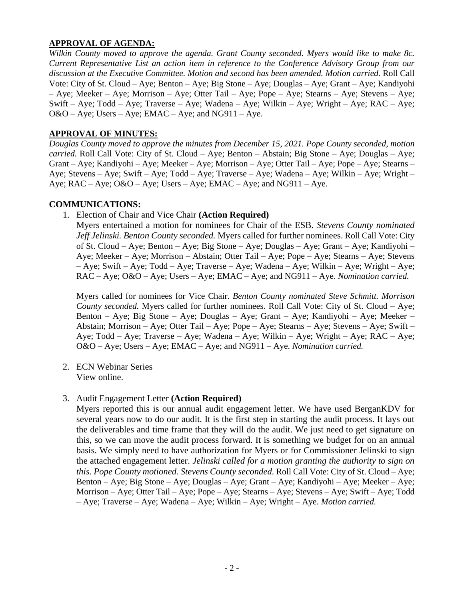## **APPROVAL OF AGENDA:**

*Wilkin County moved to approve the agenda. Grant County seconded. Myers would like to make 8c. Current Representative List an action item in reference to the Conference Advisory Group from our discussion at the Executive Committee. Motion and second has been amended. Motion carried.* Roll Call Vote: City of St. Cloud – Aye; Benton – Aye; Big Stone – Aye; Douglas – Aye; Grant – Aye; Kandiyohi – Aye; Meeker – Aye; Morrison – Aye; Otter Tail – Aye; Pope – Aye; Stearns – Aye; Stevens – Aye; Swift – Aye; Todd – Aye; Traverse – Aye; Wadena – Aye; Wilkin – Aye; Wright – Aye; RAC – Aye;  $O&O - Aye$ ; Users – Aye; EMAC – Aye; and NG911 – Aye.

### **APPROVAL OF MINUTES:**

*Douglas County moved to approve the minutes from December 15, 2021. Pope County seconded, motion carried.* Roll Call Vote: City of St. Cloud – Aye; Benton – Abstain; Big Stone – Aye; Douglas – Aye; Grant – Aye; Kandiyohi – Aye; Meeker – Aye; Morrison – Aye; Otter Tail – Aye; Pope – Aye; Stearns – Aye; Stevens – Aye; Swift – Aye; Todd – Aye; Traverse – Aye; Wadena – Aye; Wilkin – Aye; Wright – Aye;  $RAC - Aye$ ;  $O&O - Aye$ ; Users  $-Aye$ ;  $EMAC - Aye$ ; and  $NG911 - Aye$ .

#### **COMMUNICATIONS:**

1. Election of Chair and Vice Chair **(Action Required)**

Myers entertained a motion for nominees for Chair of the ESB. *Stevens County nominated Jeff Jelinski. Benton County seconded.* Myers called for further nominees. Roll Call Vote: City of St. Cloud – Aye; Benton – Aye; Big Stone – Aye; Douglas – Aye; Grant – Aye; Kandiyohi – Aye; Meeker – Aye; Morrison – Abstain; Otter Tail – Aye; Pope – Aye; Stearns – Aye; Stevens – Aye; Swift – Aye; Todd – Aye; Traverse – Aye; Wadena – Aye; Wilkin – Aye; Wright – Aye; RAC – Aye; O&O – Aye; Users – Aye; EMAC – Aye; and NG911 – Aye. *Nomination carried.*

Myers called for nominees for Vice Chair. *Benton County nominated Steve Schmitt. Morrison County seconded.* Myers called for further nominees. Roll Call Vote: City of St. Cloud – Aye; Benton – Aye; Big Stone – Aye; Douglas – Aye; Grant – Aye; Kandiyohi – Aye; Meeker – Abstain; Morrison – Aye; Otter Tail – Aye; Pope – Aye; Stearns – Aye; Stevens – Aye; Swift – Aye; Todd – Aye; Traverse – Aye; Wadena – Aye; Wilkin – Aye; Wright – Aye; RAC – Aye; O&O – Aye; Users – Aye; EMAC – Aye; and NG911 – Aye. *Nomination carried.*

2. ECN Webinar Series View online.

#### 3. Audit Engagement Letter **(Action Required)**

Myers reported this is our annual audit engagement letter. We have used BerganKDV for several years now to do our audit. It is the first step in starting the audit process. It lays out the deliverables and time frame that they will do the audit. We just need to get signature on this, so we can move the audit process forward. It is something we budget for on an annual basis. We simply need to have authorization for Myers or for Commissioner Jelinski to sign the attached engagement letter. *Jelinski called for a motion granting the authority to sign on this. Pope County motioned. Stevens County seconded.* Roll Call Vote: City of St. Cloud – Aye; Benton – Aye; Big Stone – Aye; Douglas – Aye; Grant – Aye; Kandiyohi – Aye; Meeker – Aye; Morrison – Aye; Otter Tail – Aye; Pope – Aye; Stearns – Aye; Stevens – Aye; Swift – Aye; Todd – Aye; Traverse – Aye; Wadena – Aye; Wilkin – Aye; Wright – Aye. *Motion carried.*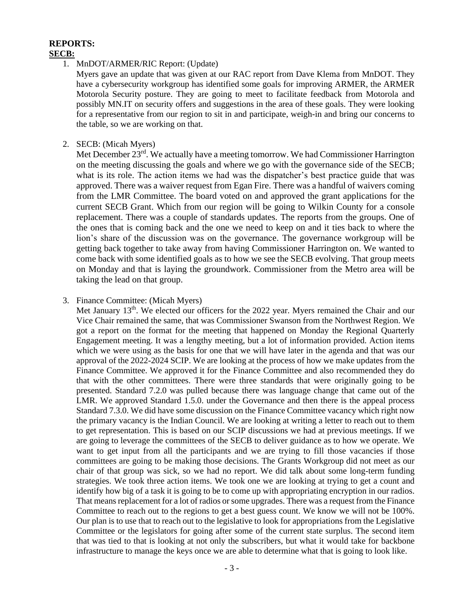# **REPORTS: SECB:**

1. MnDOT/ARMER/RIC Report: (Update)

Myers gave an update that was given at our RAC report from Dave Klema from MnDOT. They have a cybersecurity workgroup has identified some goals for improving ARMER, the ARMER Motorola Security posture. They are going to meet to facilitate feedback from Motorola and possibly MN.IT on security offers and suggestions in the area of these goals. They were looking for a representative from our region to sit in and participate, weigh-in and bring our concerns to the table, so we are working on that.

2. SECB: (Micah Myers)

Met December 23<sup>rd</sup>. We actually have a meeting tomorrow. We had Commissioner Harrington on the meeting discussing the goals and where we go with the governance side of the SECB; what is its role. The action items we had was the dispatcher's best practice guide that was approved. There was a waiver request from Egan Fire. There was a handful of waivers coming from the LMR Committee. The board voted on and approved the grant applications for the current SECB Grant. Which from our region will be going to Wilkin County for a console replacement. There was a couple of standards updates. The reports from the groups. One of the ones that is coming back and the one we need to keep on and it ties back to where the lion's share of the discussion was on the governance. The governance workgroup will be getting back together to take away from having Commissioner Harrington on. We wanted to come back with some identified goals as to how we see the SECB evolving. That group meets on Monday and that is laying the groundwork. Commissioner from the Metro area will be taking the lead on that group.

#### 3. Finance Committee: (Micah Myers)

Met January 13<sup>th</sup>. We elected our officers for the 2022 year. Myers remained the Chair and our Vice Chair remained the same, that was Commissioner Swanson from the Northwest Region. We got a report on the format for the meeting that happened on Monday the Regional Quarterly Engagement meeting. It was a lengthy meeting, but a lot of information provided. Action items which we were using as the basis for one that we will have later in the agenda and that was our approval of the 2022-2024 SCIP. We are looking at the process of how we make updates from the Finance Committee. We approved it for the Finance Committee and also recommended they do that with the other committees. There were three standards that were originally going to be presented. Standard 7.2.0 was pulled because there was language change that came out of the LMR. We approved Standard 1.5.0. under the Governance and then there is the appeal process Standard 7.3.0. We did have some discussion on the Finance Committee vacancy which right now the primary vacancy is the Indian Council. We are looking at writing a letter to reach out to them to get representation. This is based on our SCIP discussions we had at previous meetings. If we are going to leverage the committees of the SECB to deliver guidance as to how we operate. We want to get input from all the participants and we are trying to fill those vacancies if those committees are going to be making those decisions. The Grants Workgroup did not meet as our chair of that group was sick, so we had no report. We did talk about some long-term funding strategies. We took three action items. We took one we are looking at trying to get a count and identify how big of a task it is going to be to come up with appropriating encryption in our radios. That means replacement for a lot of radios or some upgrades. There was a request from the Finance Committee to reach out to the regions to get a best guess count. We know we will not be 100%. Our plan is to use that to reach out to the legislative to look for appropriations from the Legislative Committee or the legislators for going after some of the current state surplus. The second item that was tied to that is looking at not only the subscribers, but what it would take for backbone infrastructure to manage the keys once we are able to determine what that is going to look like.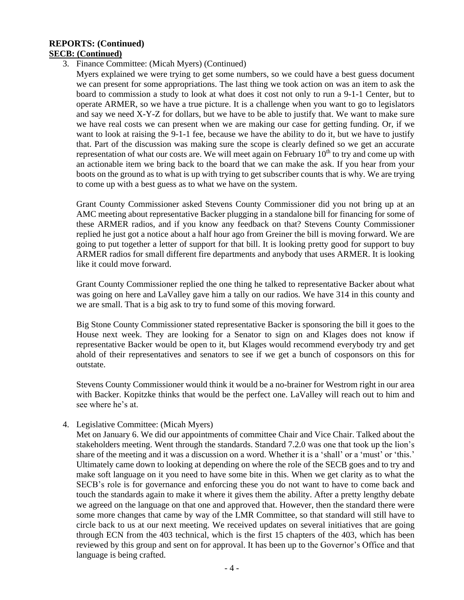#### **REPORTS: (Continued) SECB: (Continued)**

3. Finance Committee: (Micah Myers) (Continued)

Myers explained we were trying to get some numbers, so we could have a best guess document we can present for some appropriations. The last thing we took action on was an item to ask the board to commission a study to look at what does it cost not only to run a 9-1-1 Center, but to operate ARMER, so we have a true picture. It is a challenge when you want to go to legislators and say we need X-Y-Z for dollars, but we have to be able to justify that. We want to make sure we have real costs we can present when we are making our case for getting funding. Or, if we want to look at raising the 9-1-1 fee, because we have the ability to do it, but we have to justify that. Part of the discussion was making sure the scope is clearly defined so we get an accurate representation of what our costs are. We will meet again on February  $10<sup>th</sup>$  to try and come up with an actionable item we bring back to the board that we can make the ask. If you hear from your boots on the ground as to what is up with trying to get subscriber counts that is why. We are trying to come up with a best guess as to what we have on the system.

Grant County Commissioner asked Stevens County Commissioner did you not bring up at an AMC meeting about representative Backer plugging in a standalone bill for financing for some of these ARMER radios, and if you know any feedback on that? Stevens County Commissioner replied he just got a notice about a half hour ago from Greiner the bill is moving forward. We are going to put together a letter of support for that bill. It is looking pretty good for support to buy ARMER radios for small different fire departments and anybody that uses ARMER. It is looking like it could move forward.

Grant County Commissioner replied the one thing he talked to representative Backer about what was going on here and LaValley gave him a tally on our radios. We have 314 in this county and we are small. That is a big ask to try to fund some of this moving forward.

Big Stone County Commissioner stated representative Backer is sponsoring the bill it goes to the House next week. They are looking for a Senator to sign on and Klages does not know if representative Backer would be open to it, but Klages would recommend everybody try and get ahold of their representatives and senators to see if we get a bunch of cosponsors on this for outstate.

Stevens County Commissioner would think it would be a no-brainer for Westrom right in our area with Backer. Kopitzke thinks that would be the perfect one. LaValley will reach out to him and see where he's at.

#### 4. Legislative Committee: (Micah Myers)

Met on January 6. We did our appointments of committee Chair and Vice Chair. Talked about the stakeholders meeting. Went through the standards. Standard 7.2.0 was one that took up the lion's share of the meeting and it was a discussion on a word. Whether it is a 'shall' or a 'must' or 'this.' Ultimately came down to looking at depending on where the role of the SECB goes and to try and make soft language on it you need to have some bite in this. When we get clarity as to what the SECB's role is for governance and enforcing these you do not want to have to come back and touch the standards again to make it where it gives them the ability. After a pretty lengthy debate we agreed on the language on that one and approved that. However, then the standard there were some more changes that came by way of the LMR Committee, so that standard will still have to circle back to us at our next meeting. We received updates on several initiatives that are going through ECN from the 403 technical, which is the first 15 chapters of the 403, which has been reviewed by this group and sent on for approval. It has been up to the Governor's Office and that language is being crafted.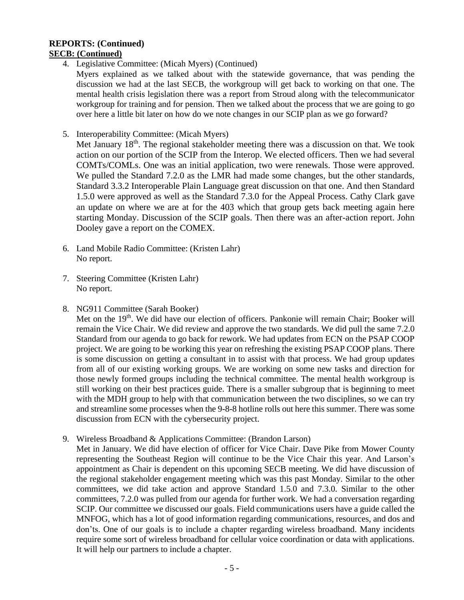#### **REPORTS: (Continued) SECB: (Continued)**

4. Legislative Committee: (Micah Myers) (Continued)

Myers explained as we talked about with the statewide governance, that was pending the discussion we had at the last SECB, the workgroup will get back to working on that one. The mental health crisis legislation there was a report from Stroud along with the telecommunicator workgroup for training and for pension. Then we talked about the process that we are going to go over here a little bit later on how do we note changes in our SCIP plan as we go forward?

5. Interoperability Committee: (Micah Myers)

Met January  $18<sup>th</sup>$ . The regional stakeholder meeting there was a discussion on that. We took action on our portion of the SCIP from the Interop. We elected officers. Then we had several COMTs/COMLs. One was an initial application, two were renewals. Those were approved. We pulled the Standard 7.2.0 as the LMR had made some changes, but the other standards, Standard 3.3.2 Interoperable Plain Language great discussion on that one. And then Standard 1.5.0 were approved as well as the Standard 7.3.0 for the Appeal Process. Cathy Clark gave an update on where we are at for the 403 which that group gets back meeting again here starting Monday. Discussion of the SCIP goals. Then there was an after-action report. John Dooley gave a report on the COMEX.

- 6. Land Mobile Radio Committee: (Kristen Lahr) No report.
- 7. Steering Committee (Kristen Lahr) No report.
- 8. NG911 Committee (Sarah Booker)

Met on the 19<sup>th</sup>. We did have our election of officers. Pankonie will remain Chair; Booker will remain the Vice Chair. We did review and approve the two standards. We did pull the same 7.2.0 Standard from our agenda to go back for rework. We had updates from ECN on the PSAP COOP project. We are going to be working this year on refreshing the existing PSAP COOP plans. There is some discussion on getting a consultant in to assist with that process. We had group updates from all of our existing working groups. We are working on some new tasks and direction for those newly formed groups including the technical committee. The mental health workgroup is still working on their best practices guide. There is a smaller subgroup that is beginning to meet with the MDH group to help with that communication between the two disciplines, so we can try and streamline some processes when the 9-8-8 hotline rolls out here this summer. There was some discussion from ECN with the cybersecurity project.

9. Wireless Broadband & Applications Committee: (Brandon Larson)

Met in January. We did have election of officer for Vice Chair. Dave Pike from Mower County representing the Southeast Region will continue to be the Vice Chair this year. And Larson's appointment as Chair is dependent on this upcoming SECB meeting. We did have discussion of the regional stakeholder engagement meeting which was this past Monday. Similar to the other committees, we did take action and approve Standard 1.5.0 and 7.3.0. Similar to the other committees, 7.2.0 was pulled from our agenda for further work. We had a conversation regarding SCIP. Our committee we discussed our goals. Field communications users have a guide called the MNFOG, which has a lot of good information regarding communications, resources, and dos and don'ts. One of our goals is to include a chapter regarding wireless broadband. Many incidents require some sort of wireless broadband for cellular voice coordination or data with applications. It will help our partners to include a chapter.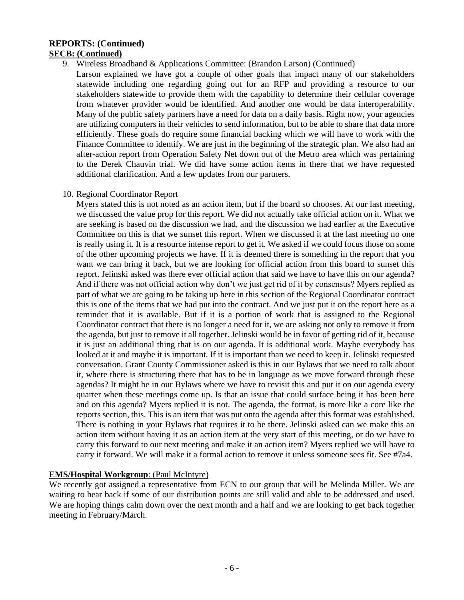#### **REPORTS: (Continued) SECB: (Continued)**

9. Wireless Broadband & Applications Committee: (Brandon Larson) (Continued)

Larson explained we have got a couple of other goals that impact many of our stakeholders statewide including one regarding going out for an RFP and providing a resource to our stakeholders statewide to provide them with the capability to determine their cellular coverage from whatever provider would be identified. And another one would be data interoperability. Many of the public safety partners have a need for data on a daily basis. Right now, your agencies are utilizing computers in their vehicles to send information, but to be able to share that data more efficiently. These goals do require some financial backing which we will have to work with the Finance Committee to identify. We are just in the beginning of the strategic plan. We also had an after-action report from Operation Safety Net down out of the Metro area which was pertaining to the Derek Chauvin trial. We did have some action items in there that we have requested additional clarification. And a few updates from our partners.

10. Regional Coordinator Report

Myers stated this is not noted as an action item, but if the board so chooses. At our last meeting, we discussed the value prop for this report. We did not actually take official action on it. What we are seeking is based on the discussion we had, and the discussion we had earlier at the Executive Committee on this is that we sunset this report. When we discussed it at the last meeting no one is really using it. It is a resource intense report to get it. We asked if we could focus those on some of the other upcoming projects we have. If it is deemed there is something in the report that you want we can bring it back, but we are looking for official action from this board to sunset this report. Jelinski asked was there ever official action that said we have to have this on our agenda? And if there was not official action why don't we just get rid of it by consensus? Myers replied as part of what we are going to be taking up here in this section of the Regional Coordinator contract this is one of the items that we had put into the contract. And we just put it on the report here as a reminder that it is available. But if it is a portion of work that is assigned to the Regional Coordinator contract that there is no longer a need for it, we are asking not only to remove it from the agenda, but just to remove it all together. Jelinski would be in favor of getting rid of it, because it is just an additional thing that is on our agenda. It is additional work. Maybe everybody has looked at it and maybe it is important. If it is important than we need to keep it. Jelinski requested conversation. Grant County Commissioner asked is this in our Bylaws that we need to talk about it, where there is structuring there that has to be in language as we move forward through these agendas? It might be in our Bylaws where we have to revisit this and put it on our agenda every quarter when these meetings come up. Is that an issue that could surface being it has been here and on this agenda? Myers replied it is not. The agenda, the format, is more like a core like the reports section, this. This is an item that was put onto the agenda after this format was established. There is nothing in your Bylaws that requires it to be there. Jelinski asked can we make this an action item without having it as an action item at the very start of this meeting, or do we have to carry this forward to our next meeting and make it an action item? Myers replied we will have to carry it forward. We will make it a formal action to remove it unless someone sees fit. See #7a4.

# **EMS/Hospital Workgroup**: (Paul McIntyre)

We recently got assigned a representative from ECN to our group that will be Melinda Miller. We are waiting to hear back if some of our distribution points are still valid and able to be addressed and used. We are hoping things calm down over the next month and a half and we are looking to get back together meeting in February/March.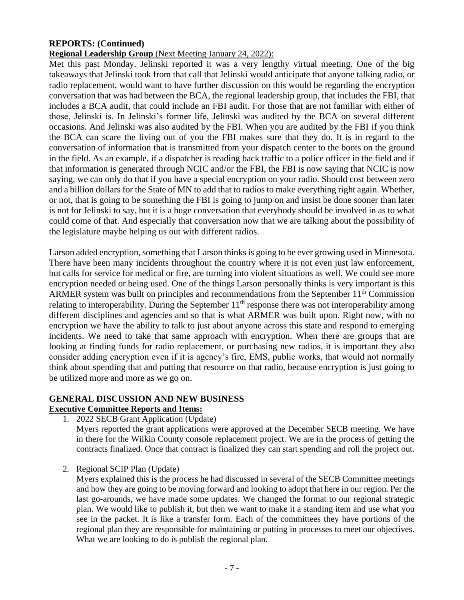# **REPORTS: (Continued)**

### **Regional Leadership Group** (Next Meeting January 24, 2022):

Met this past Monday. Jelinski reported it was a very lengthy virtual meeting. One of the big takeaways that Jelinski took from that call that Jelinski would anticipate that anyone talking radio, or radio replacement, would want to have further discussion on this would be regarding the encryption conversation that was had between the BCA, the regional leadership group, that includes the FBI, that includes a BCA audit, that could include an FBI audit. For those that are not familiar with either of those, Jelinski is. In Jelinski's former life, Jelinski was audited by the BCA on several different occasions. And Jelinski was also audited by the FBI. When you are audited by the FBI if you think the BCA can scare the living out of you the FBI makes sure that they do. It is in regard to the conversation of information that is transmitted from your dispatch center to the boots on the ground in the field. As an example, if a dispatcher is reading back traffic to a police officer in the field and if that information is generated through NCIC and/or the FBI, the FBI is now saying that NCIC is now saying, we can only do that if you have a special encryption on your radio. Should cost between zero and a billion dollars for the State of MN to add that to radios to make everything right again. Whether, or not, that is going to be something the FBI is going to jump on and insist be done sooner than later is not for Jelinski to say, but it is a huge conversation that everybody should be involved in as to what could come of that. And especially that conversation now that we are talking about the possibility of the legislature maybe helping us out with different radios.

Larson added encryption, something that Larson thinks is going to be ever growing used in Minnesota. There have been many incidents throughout the country where it is not even just law enforcement, but calls for service for medical or fire, are turning into violent situations as well. We could see more encryption needed or being used. One of the things Larson personally thinks is very important is this ARMER system was built on principles and recommendations from the September 11<sup>th</sup> Commission relating to interoperability. During the September  $11<sup>th</sup>$  response there was not interoperability among different disciplines and agencies and so that is what ARMER was built upon. Right now, with no encryption we have the ability to talk to just about anyone across this state and respond to emerging incidents. We need to take that same approach with encryption. When there are groups that are looking at finding funds for radio replacement, or purchasing new radios, it is important they also consider adding encryption even if it is agency's fire, EMS, public works, that would not normally think about spending that and putting that resource on that radio, because encryption is just going to be utilized more and more as we go on.

# **GENERAL DISCUSSION AND NEW BUSINESS**

# **Executive Committee Reports and Items:**

1. 2022 SECB Grant Application (Update)

Myers reported the grant applications were approved at the December SECB meeting. We have in there for the Wilkin County console replacement project. We are in the process of getting the contracts finalized. Once that contract is finalized they can start spending and roll the project out.

2. Regional SCIP Plan (Update)

Myers explained this is the process he had discussed in several of the SECB Committee meetings and how they are going to be moving forward and looking to adopt that here in our region. Per the last go-arounds, we have made some updates. We changed the format to our regional strategic plan. We would like to publish it, but then we want to make it a standing item and use what you see in the packet. It is like a transfer form. Each of the committees they have portions of the regional plan they are responsible for maintaining or putting in processes to meet our objectives. What we are looking to do is publish the regional plan.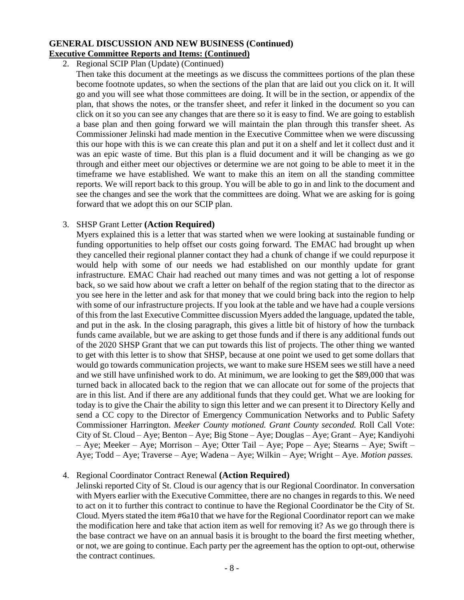## **GENERAL DISCUSSION AND NEW BUSINESS (Continued) Executive Committee Reports and Items: (Continued)**

2. Regional SCIP Plan (Update) (Continued)

Then take this document at the meetings as we discuss the committees portions of the plan these become footnote updates, so when the sections of the plan that are laid out you click on it. It will go and you will see what those committees are doing. It will be in the section, or appendix of the plan, that shows the notes, or the transfer sheet, and refer it linked in the document so you can click on it so you can see any changes that are there so it is easy to find. We are going to establish a base plan and then going forward we will maintain the plan through this transfer sheet. As Commissioner Jelinski had made mention in the Executive Committee when we were discussing this our hope with this is we can create this plan and put it on a shelf and let it collect dust and it was an epic waste of time. But this plan is a fluid document and it will be changing as we go through and either meet our objectives or determine we are not going to be able to meet it in the timeframe we have established. We want to make this an item on all the standing committee reports. We will report back to this group. You will be able to go in and link to the document and see the changes and see the work that the committees are doing. What we are asking for is going forward that we adopt this on our SCIP plan.

### 3. SHSP Grant Letter **(Action Required)**

Myers explained this is a letter that was started when we were looking at sustainable funding or funding opportunities to help offset our costs going forward. The EMAC had brought up when they cancelled their regional planner contact they had a chunk of change if we could repurpose it would help with some of our needs we had established on our monthly update for grant infrastructure. EMAC Chair had reached out many times and was not getting a lot of response back, so we said how about we craft a letter on behalf of the region stating that to the director as you see here in the letter and ask for that money that we could bring back into the region to help with some of our infrastructure projects. If you look at the table and we have had a couple versions of this from the last Executive Committee discussion Myers added the language, updated the table, and put in the ask. In the closing paragraph, this gives a little bit of history of how the turnback funds came available, but we are asking to get those funds and if there is any additional funds out of the 2020 SHSP Grant that we can put towards this list of projects. The other thing we wanted to get with this letter is to show that SHSP, because at one point we used to get some dollars that would go towards communication projects, we want to make sure HSEM sees we still have a need and we still have unfinished work to do. At minimum, we are looking to get the \$89,000 that was turned back in allocated back to the region that we can allocate out for some of the projects that are in this list. And if there are any additional funds that they could get. What we are looking for today is to give the Chair the ability to sign this letter and we can present it to Directory Kelly and send a CC copy to the Director of Emergency Communication Networks and to Public Safety Commissioner Harrington. *Meeker County motioned. Grant County seconded.* Roll Call Vote: City of St. Cloud – Aye; Benton – Aye; Big Stone – Aye; Douglas – Aye; Grant – Aye; Kandiyohi – Aye; Meeker – Aye; Morrison – Aye; Otter Tail – Aye; Pope – Aye; Stearns – Aye; Swift – Aye; Todd – Aye; Traverse – Aye; Wadena – Aye; Wilkin – Aye; Wright – Aye. *Motion passes.*

#### 4. Regional Coordinator Contract Renewal **(Action Required)**

Jelinski reported City of St. Cloud is our agency that is our Regional Coordinator. In conversation with Myers earlier with the Executive Committee, there are no changes in regards to this. We need to act on it to further this contract to continue to have the Regional Coordinator be the City of St. Cloud. Myers stated the item #6a10 that we have for the Regional Coordinator report can we make the modification here and take that action item as well for removing it? As we go through there is the base contract we have on an annual basis it is brought to the board the first meeting whether, or not, we are going to continue. Each party per the agreement has the option to opt-out, otherwise the contract continues.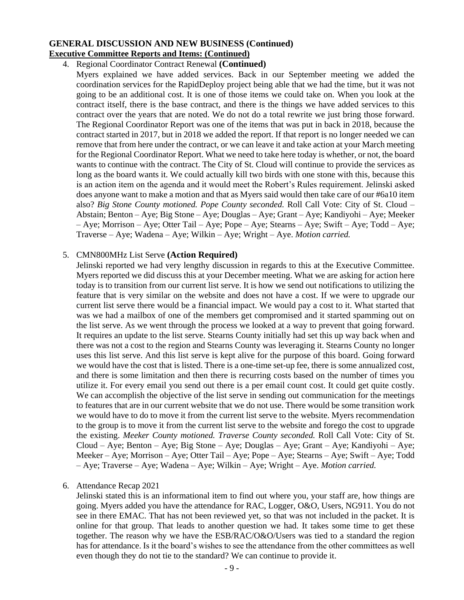## **GENERAL DISCUSSION AND NEW BUSINESS (Continued) Executive Committee Reports and Items: (Continued)**

#### 4. Regional Coordinator Contract Renewal **(Continued)**

Myers explained we have added services. Back in our September meeting we added the coordination services for the RapidDeploy project being able that we had the time, but it was not going to be an additional cost. It is one of those items we could take on. When you look at the contract itself, there is the base contract, and there is the things we have added services to this contract over the years that are noted. We do not do a total rewrite we just bring those forward. The Regional Coordinator Report was one of the items that was put in back in 2018, because the contract started in 2017, but in 2018 we added the report. If that report is no longer needed we can remove that from here under the contract, or we can leave it and take action at your March meeting for the Regional Coordinator Report. What we need to take here today is whether, or not, the board wants to continue with the contract. The City of St. Cloud will continue to provide the services as long as the board wants it. We could actually kill two birds with one stone with this, because this is an action item on the agenda and it would meet the Robert's Rules requirement. Jelinski asked does anyone want to make a motion and that as Myers said would then take care of our #6a10 item also? *Big Stone County motioned. Pope County seconded.* Roll Call Vote: City of St. Cloud – Abstain; Benton – Aye; Big Stone – Aye; Douglas – Aye; Grant – Aye; Kandiyohi – Aye; Meeker – Aye; Morrison – Aye; Otter Tail – Aye; Pope – Aye; Stearns – Aye; Swift – Aye; Todd – Aye; Traverse – Aye; Wadena – Aye; Wilkin – Aye; Wright – Aye. *Motion carried.*

#### 5. CMN800MHz List Serve **(Action Required)**

Jelinski reported we had very lengthy discussion in regards to this at the Executive Committee. Myers reported we did discuss this at your December meeting. What we are asking for action here today is to transition from our current list serve. It is how we send out notifications to utilizing the feature that is very similar on the website and does not have a cost. If we were to upgrade our current list serve there would be a financial impact. We would pay a cost to it. What started that was we had a mailbox of one of the members get compromised and it started spamming out on the list serve. As we went through the process we looked at a way to prevent that going forward. It requires an update to the list serve. Stearns County initially had set this up way back when and there was not a cost to the region and Stearns County was leveraging it. Stearns County no longer uses this list serve. And this list serve is kept alive for the purpose of this board. Going forward we would have the cost that is listed. There is a one-time set-up fee, there is some annualized cost, and there is some limitation and then there is recurring costs based on the number of times you utilize it. For every email you send out there is a per email count cost. It could get quite costly. We can accomplish the objective of the list serve in sending out communication for the meetings to features that are in our current website that we do not use. There would be some transition work we would have to do to move it from the current list serve to the website. Myers recommendation to the group is to move it from the current list serve to the website and forego the cost to upgrade the existing. *Meeker County motioned. Traverse County seconded.* Roll Call Vote: City of St. Cloud – Aye; Benton – Aye; Big Stone – Aye; Douglas – Aye; Grant – Aye; Kandiyohi – Aye; Meeker – Aye; Morrison – Aye; Otter Tail – Aye; Pope – Aye; Stearns – Aye; Swift – Aye; Todd – Aye; Traverse – Aye; Wadena – Aye; Wilkin – Aye; Wright – Aye. *Motion carried.*

#### 6. Attendance Recap 2021

Jelinski stated this is an informational item to find out where you, your staff are, how things are going. Myers added you have the attendance for RAC, Logger, O&O, Users, NG911. You do not see in there EMAC. That has not been reviewed yet, so that was not included in the packet. It is online for that group. That leads to another question we had. It takes some time to get these together. The reason why we have the ESB/RAC/O&O/Users was tied to a standard the region has for attendance. Is it the board's wishes to see the attendance from the other committees as well even though they do not tie to the standard? We can continue to provide it.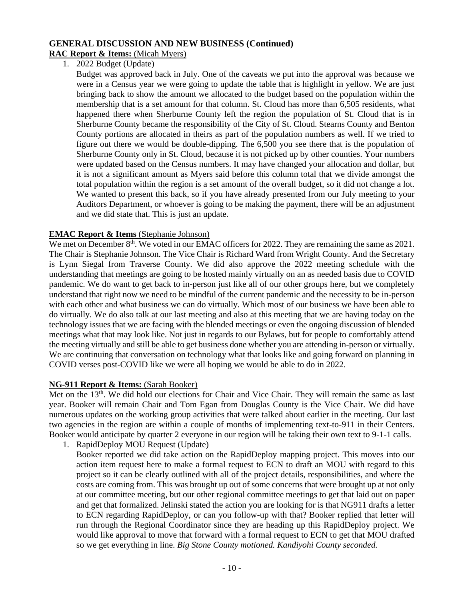# **GENERAL DISCUSSION AND NEW BUSINESS (Continued)**

# **RAC Report & Items:** (Micah Myers)

1. 2022 Budget (Update)

Budget was approved back in July. One of the caveats we put into the approval was because we were in a Census year we were going to update the table that is highlight in yellow. We are just bringing back to show the amount we allocated to the budget based on the population within the membership that is a set amount for that column. St. Cloud has more than 6,505 residents, what happened there when Sherburne County left the region the population of St. Cloud that is in Sherburne County became the responsibility of the City of St. Cloud. Stearns County and Benton County portions are allocated in theirs as part of the population numbers as well. If we tried to figure out there we would be double-dipping. The 6,500 you see there that is the population of Sherburne County only in St. Cloud, because it is not picked up by other counties. Your numbers were updated based on the Census numbers. It may have changed your allocation and dollar, but it is not a significant amount as Myers said before this column total that we divide amongst the total population within the region is a set amount of the overall budget, so it did not change a lot. We wanted to present this back, so if you have already presented from our July meeting to your Auditors Department, or whoever is going to be making the payment, there will be an adjustment and we did state that. This is just an update.

### **EMAC Report & Items** (Stephanie Johnson)

We met on December  $8<sup>th</sup>$ . We voted in our EMAC officers for 2022. They are remaining the same as 2021. The Chair is Stephanie Johnson. The Vice Chair is Richard Ward from Wright County. And the Secretary is Lynn Siegal from Traverse County. We did also approve the 2022 meeting schedule with the understanding that meetings are going to be hosted mainly virtually on an as needed basis due to COVID pandemic. We do want to get back to in-person just like all of our other groups here, but we completely understand that right now we need to be mindful of the current pandemic and the necessity to be in-person with each other and what business we can do virtually. Which most of our business we have been able to do virtually. We do also talk at our last meeting and also at this meeting that we are having today on the technology issues that we are facing with the blended meetings or even the ongoing discussion of blended meetings what that may look like. Not just in regards to our Bylaws, but for people to comfortably attend the meeting virtually and still be able to get business done whether you are attending in-person or virtually. We are continuing that conversation on technology what that looks like and going forward on planning in COVID verses post-COVID like we were all hoping we would be able to do in 2022.

# **NG-911 Report & Items:** (Sarah Booker)

Met on the 13<sup>th</sup>. We did hold our elections for Chair and Vice Chair. They will remain the same as last year. Booker will remain Chair and Tom Egan from Douglas County is the Vice Chair. We did have numerous updates on the working group activities that were talked about earlier in the meeting. Our last two agencies in the region are within a couple of months of implementing text-to-911 in their Centers. Booker would anticipate by quarter 2 everyone in our region will be taking their own text to 9-1-1 calls.

1. RapidDeploy MOU Request (Update)

Booker reported we did take action on the RapidDeploy mapping project. This moves into our action item request here to make a formal request to ECN to draft an MOU with regard to this project so it can be clearly outlined with all of the project details, responsibilities, and where the costs are coming from. This was brought up out of some concerns that were brought up at not only at our committee meeting, but our other regional committee meetings to get that laid out on paper and get that formalized. Jelinski stated the action you are looking for is that NG911 drafts a letter to ECN regarding RapidDeploy, or can you follow-up with that? Booker replied that letter will run through the Regional Coordinator since they are heading up this RapidDeploy project. We would like approval to move that forward with a formal request to ECN to get that MOU drafted so we get everything in line. *Big Stone County motioned. Kandiyohi County seconded.*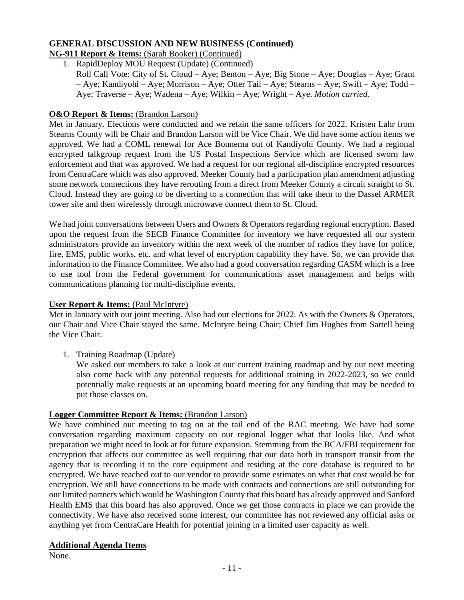#### **GENERAL DISCUSSION AND NEW BUSINESS (Continued) NG-911 Report & Items:** (Sarah Booker) (Continued)

# 1. RapidDeploy MOU Request (Update) (Continued)

Roll Call Vote: City of St. Cloud – Aye; Benton – Aye; Big Stone – Aye; Douglas – Aye; Grant – Aye; Kandiyohi – Aye; Morrison – Aye; Otter Tail – Aye; Stearns – Aye; Swift – Aye; Todd – Aye; Traverse – Aye; Wadena – Aye; Wilkin – Aye; Wright – Aye. *Motion carried.*

## **O&O Report & Items:** (Brandon Larson)

Met in January. Elections were conducted and we retain the same officers for 2022. Kristen Lahr from Stearns County will be Chair and Brandon Larson will be Vice Chair. We did have some action items we approved. We had a COML renewal for Ace Bonnema out of Kandiyohi County. We had a regional encrypted talkgroup request from the US Postal Inspections Service which are licensed sworn law enforcement and that was approved. We had a request for our regional all-discipline encrypted resources from CentraCare which was also approved. Meeker County had a participation plan amendment adjusting some network connections they have rerouting from a direct from Meeker County a circuit straight to St. Cloud. Instead they are going to be diverting to a connection that will take them to the Dassel ARMER tower site and then wirelessly through microwave connect them to St. Cloud.

We had joint conversations between Users and Owners & Operators regarding regional encryption. Based upon the request from the SECB Finance Committee for inventory we have requested all our system administrators provide an inventory within the next week of the number of radios they have for police, fire, EMS, public works, etc. and what level of encryption capability they have. So, we can provide that information to the Finance Committee. We also had a good conversation regarding CASM which is a free to use tool from the Federal government for communications asset management and helps with communications planning for multi-discipline events.

#### **User Report & Items:** (Paul McIntyre)

Met in January with our joint meeting. Also had our elections for 2022. As with the Owners & Operators, our Chair and Vice Chair stayed the same. McIntyre being Chair; Chief Jim Hughes from Sartell being the Vice Chair.

1. Training Roadmap (Update)

We asked our members to take a look at our current training roadmap and by our next meeting also come back with any potential requests for additional training in 2022-2023, so we could potentially make requests at an upcoming board meeting for any funding that may be needed to put those classes on.

# **Logger Committee Report & Items:** (Brandon Larson)

We have combined our meeting to tag on at the tail end of the RAC meeting. We have had some conversation regarding maximum capacity on our regional logger what that looks like. And what preparation we might need to look at for future expansion. Stemming from the BCA/FBI requirement for encryption that affects our committee as well requiring that our data both in transport transit from the agency that is recording it to the core equipment and residing at the core database is required to be encrypted. We have reached out to our vendor to provide some estimates on what that cost would be for encryption. We still have connections to be made with contracts and connections are still outstanding for our limited partners which would be Washington County that this board has already approved and Sanford Health EMS that this board has also approved. Once we get those contracts in place we can provide the connectivity. We have also received some interest, our committee has not reviewed any official asks or anything yet from CentraCare Health for potential joining in a limited user capacity as well.

# **Additional Agenda Items**

None.